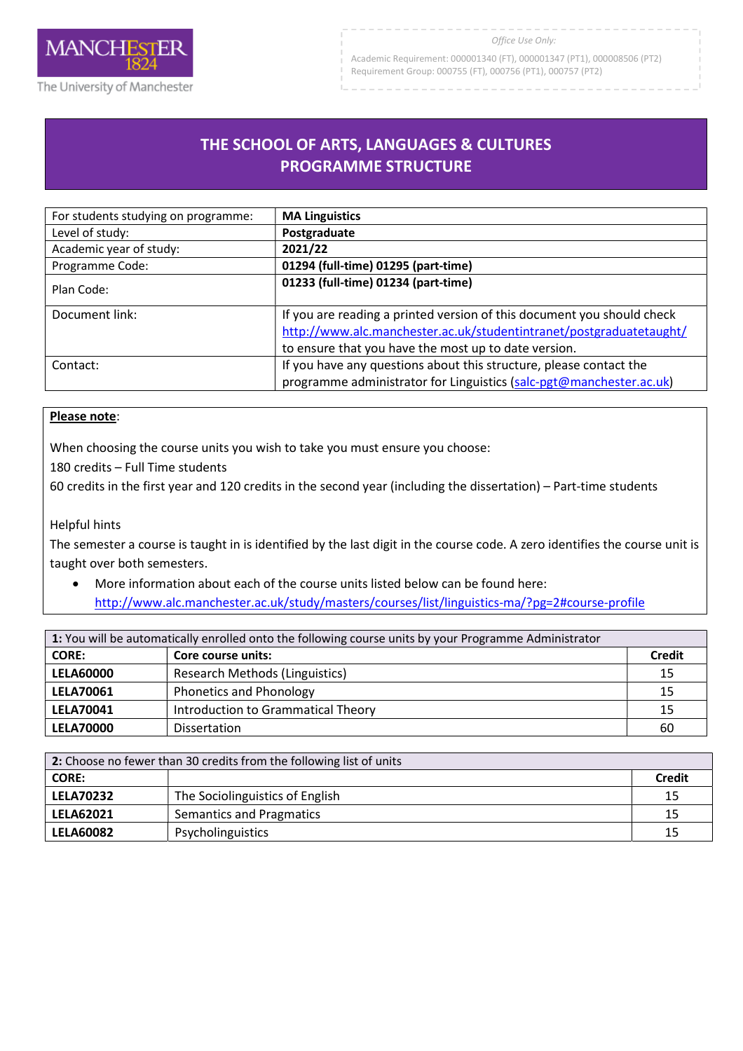

Academic Requirement: 000001340 (FT), 000001347 (PT1), 000008506 (PT2) Requirement Group: 000755 (FT), 000756 (PT1), 000757 (PT2)

# **THE SCHOOL OF ARTS, LANGUAGES & CULTURES PROGRAMME STRUCTURE**

| For students studying on programme: | <b>MA Linguistics</b>                                                  |
|-------------------------------------|------------------------------------------------------------------------|
| Level of study:                     | Postgraduate                                                           |
| Academic year of study:             | 2021/22                                                                |
| Programme Code:                     | 01294 (full-time) 01295 (part-time)                                    |
| Plan Code:                          | 01233 (full-time) 01234 (part-time)                                    |
| Document link:                      | If you are reading a printed version of this document you should check |
|                                     | http://www.alc.manchester.ac.uk/studentintranet/postgraduatetaught/    |
|                                     | to ensure that you have the most up to date version.                   |
| Contact:                            | If you have any questions about this structure, please contact the     |
|                                     | programme administrator for Linguistics (salc-pgt@manchester.ac.uk)    |

## **Please note**:

When choosing the course units you wish to take you must ensure you choose:

180 credits – Full Time students

60 credits in the first year and 120 credits in the second year (including the dissertation) – Part-time students

#### Helpful hints

The semester a course is taught in is identified by the last digit in the course code. A zero identifies the course unit is taught over both semesters.

 More information about each of the course units listed below can be found here: http://www.alc.manchester.ac.uk/study/masters/courses/list/linguistics-ma/?pg=2#course-profile

| 1: You will be automatically enrolled onto the following course units by your Programme Administrator |                                    |               |
|-------------------------------------------------------------------------------------------------------|------------------------------------|---------------|
| <b>CORE:</b>                                                                                          | Core course units:                 | <b>Credit</b> |
| <b>LELA60000</b>                                                                                      | Research Methods (Linguistics)     | 15            |
| <b>LELA70061</b>                                                                                      | <b>Phonetics and Phonology</b>     | 15            |
| <b>LELA70041</b>                                                                                      | Introduction to Grammatical Theory | 15            |
| <b>LELA70000</b>                                                                                      | <b>Dissertation</b>                | 60            |

| 2: Choose no fewer than 30 credits from the following list of units |                                 |               |
|---------------------------------------------------------------------|---------------------------------|---------------|
| <b>CORE:</b>                                                        |                                 | <b>Credit</b> |
| <b>LELA70232</b>                                                    | The Sociolinguistics of English | 15            |
| <b>LELA62021</b>                                                    | Semantics and Pragmatics        | 15            |
| <b>LELA60082</b>                                                    | Psycholinguistics               | 15            |